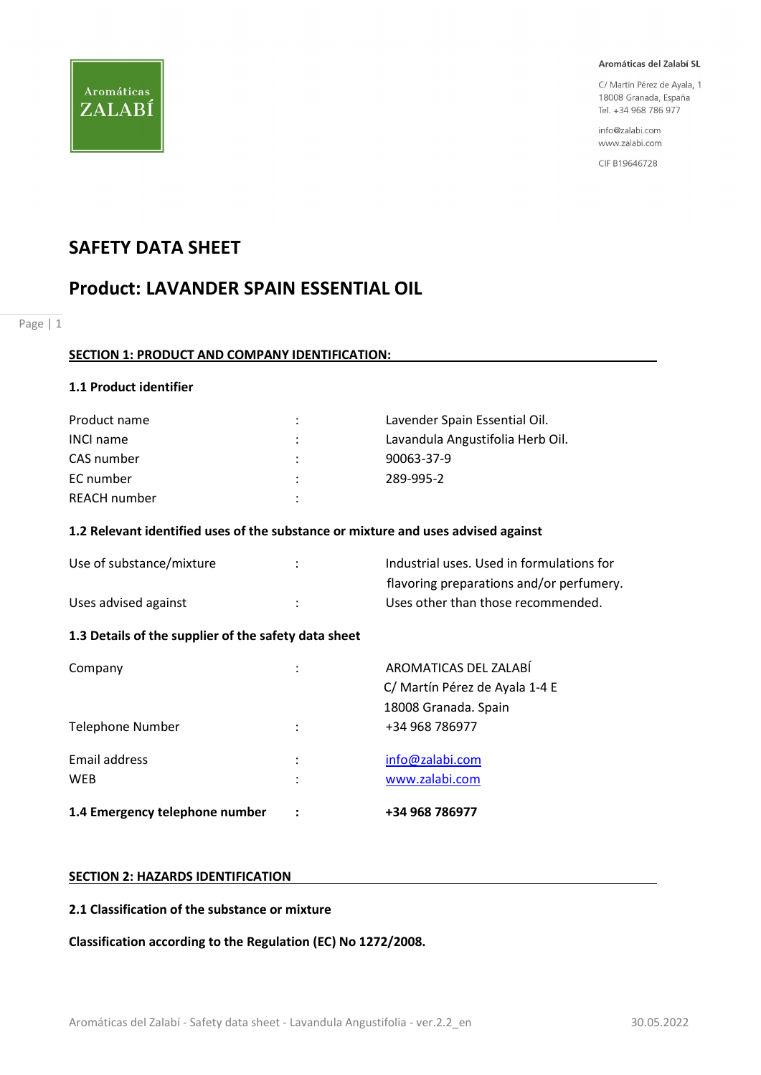

C/ Martín Pérez de Ayala, 1 18008 Granada, España Tel. +34 968 786 977

info@zalabi.com www.zalabi.com

CIF B19646728

## SAFETY DATA SHEET

## Product: LAVANDER SPAIN ESSENTIAL OIL

Page | 1

## SECTION 1: PRODUCT AND COMPANY IDENTIFICATION:

## 1.1 Product identifier

| Product name        |                      | Lavender Spain Essential Oil.    |
|---------------------|----------------------|----------------------------------|
| <b>INCI name</b>    |                      | Lavandula Angustifolia Herb Oil. |
| CAS number          | $\ddot{\phantom{0}}$ | 90063-37-9                       |
| EC number           |                      | 289-995-2                        |
| <b>REACH number</b> | $\bullet$            |                                  |

## 1.2 Relevant identified uses of the substance or mixture and uses advised against

| Use of substance/mixture | Industrial uses. Used in formulations for |
|--------------------------|-------------------------------------------|
|                          | flavoring preparations and/or perfumery.  |
| Uses advised against     | Uses other than those recommended.        |

## 1.3 Details of the supplier of the safety data sheet

| 1.4 Emergency telephone number |        | +34 968 786977                                          |
|--------------------------------|--------|---------------------------------------------------------|
| Email address<br><b>WEB</b>    | ٠<br>٠ | info@zalabi.com<br>www.zalabi.com                       |
| Telephone Number               |        | 18008 Granada. Spain<br>+34 968 786977                  |
| Company                        | ٠      | AROMATICAS DEL ZALABÍ<br>C/ Martín Pérez de Ayala 1-4 E |

## SECTION 2: HAZARDS IDENTIFICATION

## 2.1 Classification of the substance or mixture

Classification according to the Regulation (EC) No 1272/2008.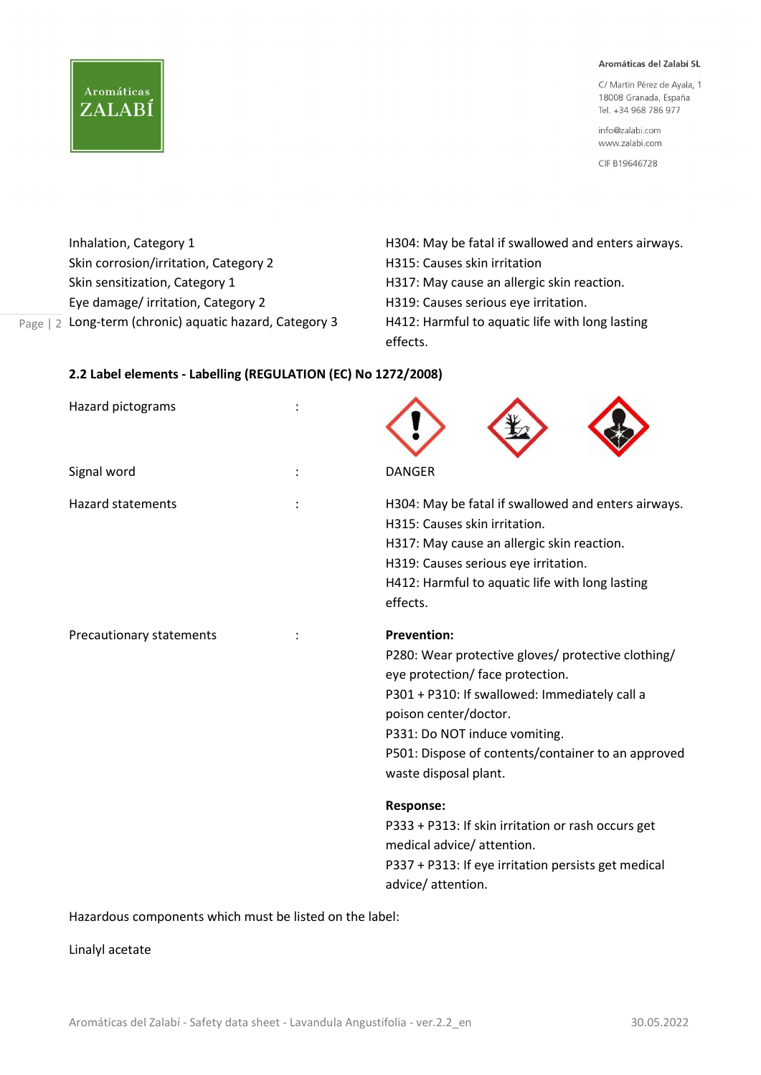C/ Martín Pérez de Ayala, 1 18008 Granada, España Tel. +34 968 786 977

info@zalabi.com www.zalabi.com

CIF B19646728

Skin corrosion/irritation, Category 2 **H315: Causes skin irritation** Skin sensitization, Category 1 **H317:** May cause an allergic skin reaction. Eye damage/ irritation, Category 2 H319: Causes serious eye irritation.

**Aromáticas** 

ZALABÍ

Page | 2 Long-term (chronic) aquatic hazard, Category 3 H412: Harmful to aquatic life with long lasting Inhalation, Category 1 **H304: May be fatal if swallowed and enters airways.** effects.

## 2.2 Label elements - Labelling (REGULATION (EC) No 1272/2008)

| Hazard pictograms        |                                                                                                                                                                                                                                                                                                        |
|--------------------------|--------------------------------------------------------------------------------------------------------------------------------------------------------------------------------------------------------------------------------------------------------------------------------------------------------|
| Signal word              | <b>DANGER</b>                                                                                                                                                                                                                                                                                          |
| <b>Hazard statements</b> | H304: May be fatal if swallowed and enters airways.<br>H315: Causes skin irritation.<br>H317: May cause an allergic skin reaction.<br>H319: Causes serious eye irritation.<br>H412: Harmful to aquatic life with long lasting<br>effects.                                                              |
| Precautionary statements | <b>Prevention:</b><br>P280: Wear protective gloves/ protective clothing/<br>eye protection/ face protection.<br>P301 + P310: If swallowed: Immediately call a<br>poison center/doctor.<br>P331: Do NOT induce vomiting.<br>P501: Dispose of contents/container to an approved<br>waste disposal plant. |
|                          | <b>Response:</b><br>P333 + P313: If skin irritation or rash occurs get<br>medical advice/ attention.<br>P337 + P313: If eye irritation persists get medical<br>advice/attention.                                                                                                                       |

Hazardous components which must be listed on the label:

Linalyl acetate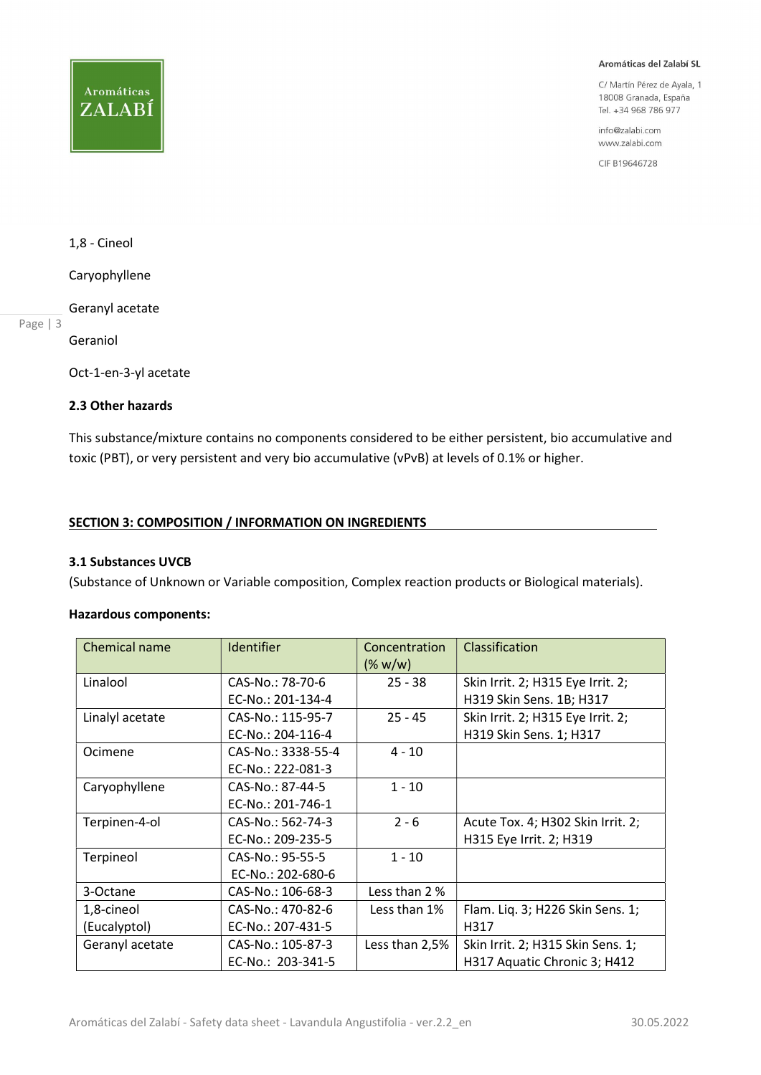## **Aromáticas** ZALABÍ

#### Aromáticas del Zalabí SL

C/ Martín Pérez de Ayala, 1 18008 Granada, España Tel. +34 968 786 977

info@zalabi.com www.zalabi.com

CIF B19646728

## 1,8 - Cineol

Caryophyllene

## Geranyl acetate

Page | 3

Geraniol

Oct-1-en-3-yl acetate

## 2.3 Other hazards

This substance/mixture contains no components considered to be either persistent, bio accumulative and toxic (PBT), or very persistent and very bio accumulative (vPvB) at levels of 0.1% or higher.

## SECTION 3: COMPOSITION / INFORMATION ON INGREDIENTS

## 3.1 Substances UVCB

(Substance of Unknown or Variable composition, Complex reaction products or Biological materials).

## Hazardous components:

| Chemical name   | Identifier         | Concentration<br>$(\% w/w)$ | Classification                    |
|-----------------|--------------------|-----------------------------|-----------------------------------|
| Linalool        | CAS-No.: 78-70-6   | $25 - 38$                   | Skin Irrit. 2; H315 Eye Irrit. 2; |
|                 | EC-No.: 201-134-4  |                             | H319 Skin Sens. 1B; H317          |
| Linalyl acetate | CAS-No.: 115-95-7  | $25 - 45$                   | Skin Irrit. 2; H315 Eye Irrit. 2; |
|                 | EC-No.: 204-116-4  |                             | H319 Skin Sens. 1; H317           |
| Ocimene         | CAS-No.: 3338-55-4 | $4 - 10$                    |                                   |
|                 | EC-No.: 222-081-3  |                             |                                   |
| Caryophyllene   | CAS-No.: 87-44-5   | $1 - 10$                    |                                   |
|                 | EC-No.: 201-746-1  |                             |                                   |
| Terpinen-4-ol   | CAS-No.: 562-74-3  | $2 - 6$                     | Acute Tox. 4; H302 Skin Irrit. 2; |
|                 | EC-No.: 209-235-5  |                             | H315 Eye Irrit. 2; H319           |
| Terpineol       | CAS-No.: 95-55-5   | $1 - 10$                    |                                   |
|                 | EC-No.: 202-680-6  |                             |                                   |
| 3-Octane        | CAS-No.: 106-68-3  | Less than 2 %               |                                   |
| 1,8-cineol      | CAS-No.: 470-82-6  | Less than 1%                | Flam. Liq. 3; H226 Skin Sens. 1;  |
| (Eucalyptol)    | EC-No.: 207-431-5  |                             | H317                              |
| Geranyl acetate | CAS-No.: 105-87-3  | Less than 2,5%              | Skin Irrit. 2; H315 Skin Sens. 1; |
|                 | EC-No.: 203-341-5  |                             | H317 Aquatic Chronic 3; H412      |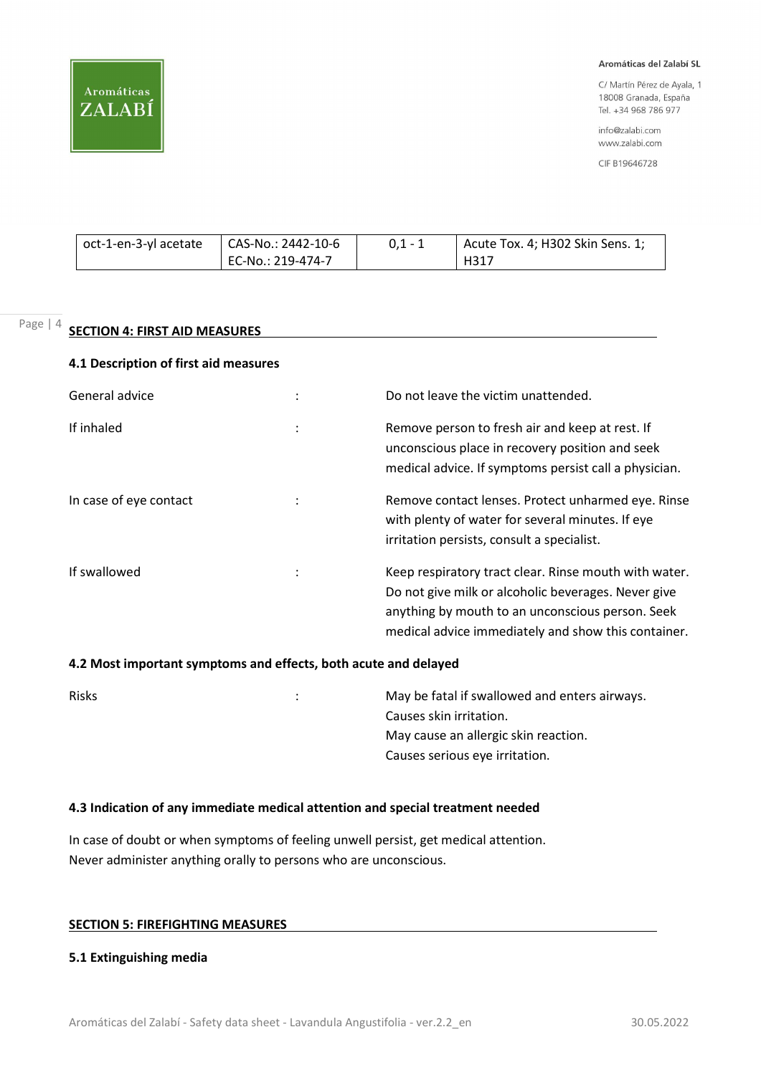

C/ Martín Pérez de Ayala, 1 18008 Granada, España Tel. +34 968 786 977

info@zalabi.com www.zalabi.com

CIF B19646728

| oct-1-en-3-yl acetate | LCAS-No.: 2442-10-6 | $0.1 - 1$ | Acute Tox. 4; H302 Skin Sens. 1; |
|-----------------------|---------------------|-----------|----------------------------------|
|                       | EC-No.: 219-474-7   |           | H317                             |

## Page | 4 **SECTION 4: FIRST AID MEASURES**

## 4.1 Description of first aid measures

| General advice         | Do not leave the victim unattended.                                                                                                                                                                                     |
|------------------------|-------------------------------------------------------------------------------------------------------------------------------------------------------------------------------------------------------------------------|
| If inhaled             | Remove person to fresh air and keep at rest. If<br>unconscious place in recovery position and seek<br>medical advice. If symptoms persist call a physician.                                                             |
| In case of eye contact | Remove contact lenses. Protect unharmed eye. Rinse<br>with plenty of water for several minutes. If eye<br>irritation persists, consult a specialist.                                                                    |
| If swallowed           | Keep respiratory tract clear. Rinse mouth with water.<br>Do not give milk or alcoholic beverages. Never give<br>anything by mouth to an unconscious person. Seek<br>medical advice immediately and show this container. |

## 4.2 Most important symptoms and effects, both acute and delayed

| <b>Risks</b> | ÷ | May be fatal if swallowed and enters airways. |
|--------------|---|-----------------------------------------------|
|              |   | Causes skin irritation.                       |
|              |   | May cause an allergic skin reaction.          |
|              |   | Causes serious eye irritation.                |
|              |   |                                               |

## 4.3 Indication of any immediate medical attention and special treatment needed

In case of doubt or when symptoms of feeling unwell persist, get medical attention. Never administer anything orally to persons who are unconscious.

## SECTION 5: FIREFIGHTING MEASURES

## 5.1 Extinguishing media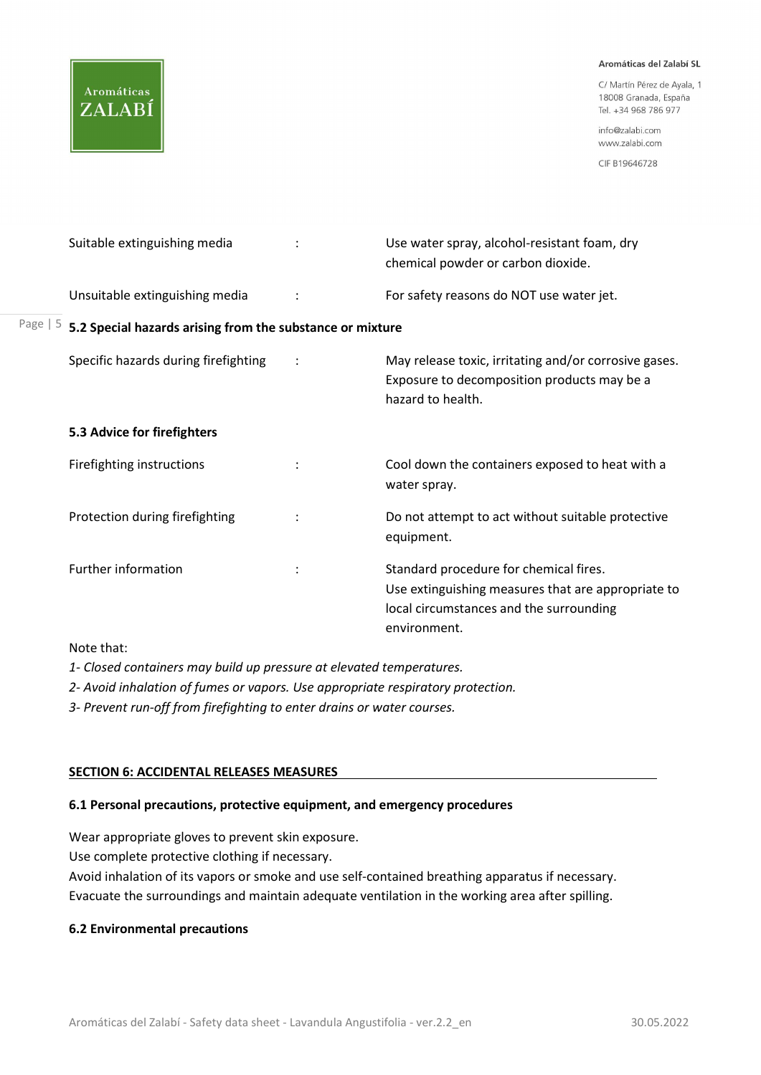# **Aromáticas** ZALABÍ

Page

#### Aromáticas del Zalabí SL

C/ Martín Pérez de Ayala, 1 18008 Granada, España Tel. +34 968 786 977

info@zalabi.com www.zalabi.com

CIF B19646728

|                                                           | Suitable extinguishing media         |  | Use water spray, alcohol-resistant foam, dry<br>chemical powder or carbon dioxide.                                                                      |
|-----------------------------------------------------------|--------------------------------------|--|---------------------------------------------------------------------------------------------------------------------------------------------------------|
|                                                           | Unsuitable extinguishing media       |  | For safety reasons do NOT use water jet.                                                                                                                |
| 5.2 Special hazards arising from the substance or mixture |                                      |  |                                                                                                                                                         |
|                                                           | Specific hazards during firefighting |  | May release toxic, irritating and/or corrosive gases.<br>Exposure to decomposition products may be a<br>hazard to health.                               |
|                                                           | 5.3 Advice for firefighters          |  |                                                                                                                                                         |
|                                                           | Firefighting instructions            |  | Cool down the containers exposed to heat with a<br>water spray.                                                                                         |
|                                                           | Protection during firefighting       |  | Do not attempt to act without suitable protective<br>equipment.                                                                                         |
|                                                           | <b>Further information</b>           |  | Standard procedure for chemical fires.<br>Use extinguishing measures that are appropriate to<br>local circumstances and the surrounding<br>environment. |

Note that:

1- Closed containers may build up pressure at elevated temperatures.

2- Avoid inhalation of fumes or vapors. Use appropriate respiratory protection.

3- Prevent run-off from firefighting to enter drains or water courses.

## SECTION 6: ACCIDENTAL RELEASES MEASURES

## 6.1 Personal precautions, protective equipment, and emergency procedures

Wear appropriate gloves to prevent skin exposure.

Use complete protective clothing if necessary.

Avoid inhalation of its vapors or smoke and use self-contained breathing apparatus if necessary. Evacuate the surroundings and maintain adequate ventilation in the working area after spilling.

## 6.2 Environmental precautions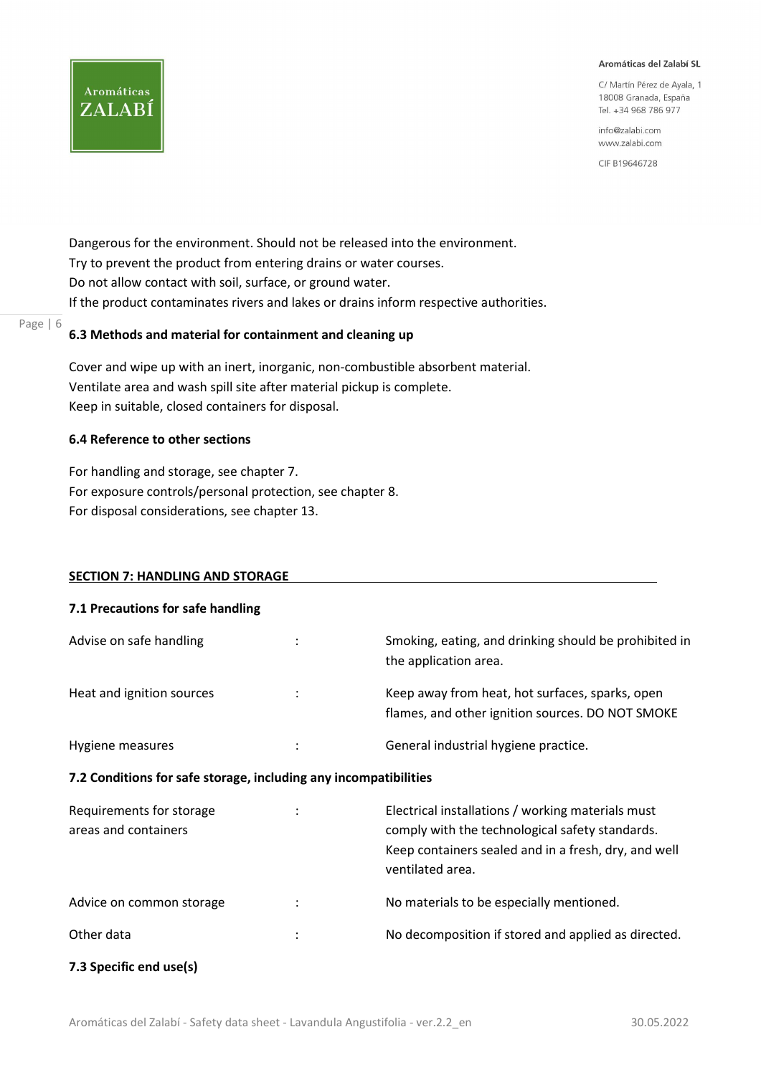C/ Martín Pérez de Ayala, 1 18008 Granada, España Tel. +34 968 786 977

info@zalabi.com www.zalabi.com

CIF B19646728

Dangerous for the environment. Should not be released into the environment. Try to prevent the product from entering drains or water courses. Do not allow contact with soil, surface, or ground water. If the product contaminates rivers and lakes or drains inform respective authorities.

#### Page | 6 6.3 Methods and material for containment and cleaning up

Cover and wipe up with an inert, inorganic, non-combustible absorbent material. Ventilate area and wash spill site after material pickup is complete. Keep in suitable, closed containers for disposal.

## 6.4 Reference to other sections

**Aromáticas** 

ZALABÍ

For handling and storage, see chapter 7. For exposure controls/personal protection, see chapter 8. For disposal considerations, see chapter 13.

## SECTION 7: HANDLING AND STORAGE

| 7.1 Precautions for safe handling                                |                                                                                                                                                                                  |
|------------------------------------------------------------------|----------------------------------------------------------------------------------------------------------------------------------------------------------------------------------|
| Advise on safe handling                                          | Smoking, eating, and drinking should be prohibited in<br>the application area.                                                                                                   |
| Heat and ignition sources                                        | Keep away from heat, hot surfaces, sparks, open<br>flames, and other ignition sources. DO NOT SMOKE                                                                              |
| Hygiene measures                                                 | General industrial hygiene practice.                                                                                                                                             |
| 7.2 Conditions for safe storage, including any incompatibilities |                                                                                                                                                                                  |
| Requirements for storage<br>areas and containers                 | Electrical installations / working materials must<br>comply with the technological safety standards.<br>Keep containers sealed and in a fresh, dry, and well<br>ventilated area. |
| Advice on common storage                                         | No materials to be especially mentioned.                                                                                                                                         |
| Other data                                                       | No decomposition if stored and applied as directed.                                                                                                                              |
| 7.3 Specific end use(s)                                          |                                                                                                                                                                                  |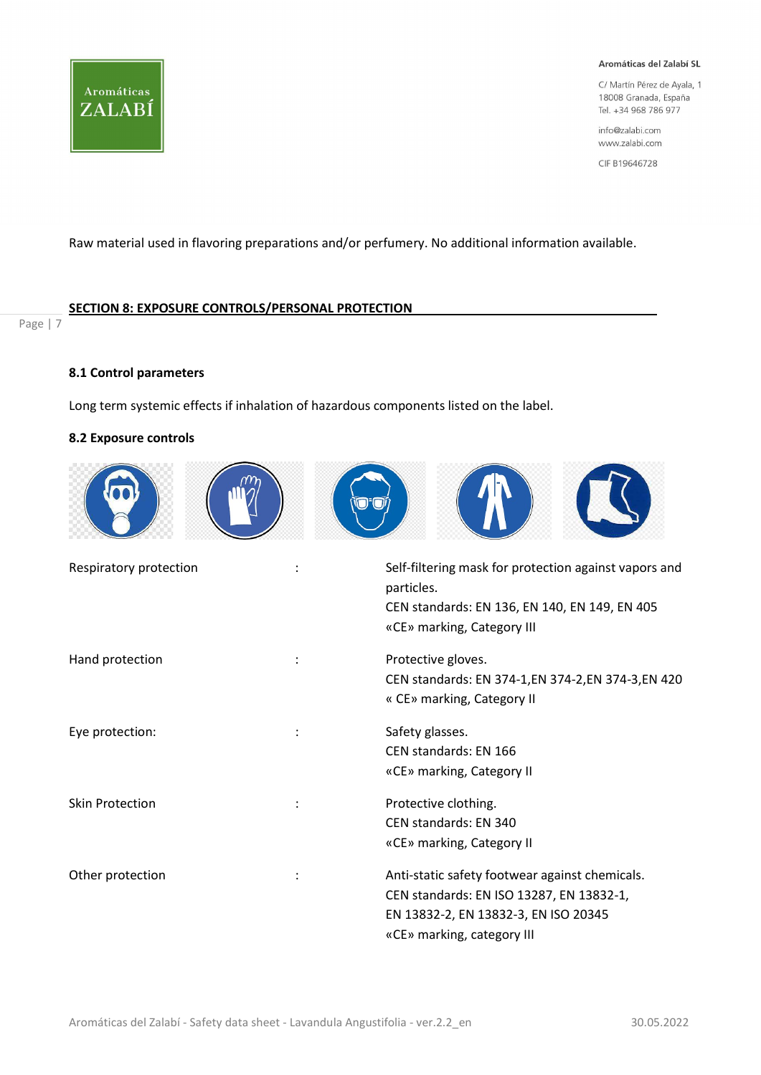

C/ Martín Pérez de Ayala, 1 18008 Granada, España Tel. +34 968 786 977

info@zalabi.com www.zalabi.com

CIF B19646728

Raw material used in flavoring preparations and/or perfumery. No additional information available.

## SECTION 8: EXPOSURE CONTROLS/PERSONAL PROTECTION

Page | 7

## 8.1 Control parameters

Long term systemic effects if inhalation of hazardous components listed on the label.

## 8.2 Exposure controls



| Respiratory protection | Self-filtering mask for protection against vapors and<br>particles.<br>CEN standards: EN 136, EN 140, EN 149, EN 405<br>«CE» marking, Category III               |
|------------------------|------------------------------------------------------------------------------------------------------------------------------------------------------------------|
| Hand protection        | Protective gloves.<br>CEN standards: EN 374-1, EN 374-2, EN 374-3, EN 420<br>« CE» marking, Category II                                                          |
| Eye protection:        | Safety glasses.<br>CEN standards: EN 166<br>«CE» marking, Category II                                                                                            |
| <b>Skin Protection</b> | Protective clothing.<br>CEN standards: EN 340<br>«CE» marking, Category II                                                                                       |
| Other protection       | Anti-static safety footwear against chemicals.<br>CEN standards: EN ISO 13287, EN 13832-1,<br>EN 13832-2, EN 13832-3, EN ISO 20345<br>«CE» marking, category III |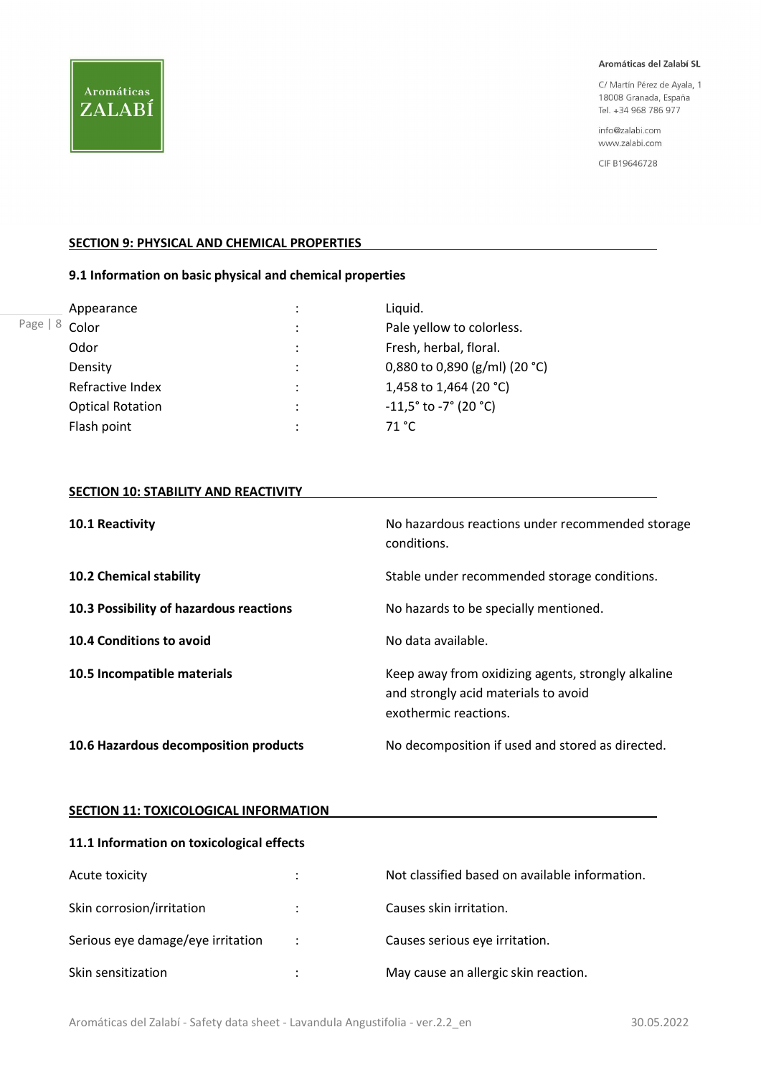C/ Martín Pérez de Ayala, 1 18008 Granada, España Tel. +34 968 786 977

info@zalabi.com www.zalabi.com

CIF B19646728

## **SECTION 9: PHYSICAL AND CHEMICAL PROPERTIES**

## 9.1 Information on basic physical and chemical properties

|              | Appearance              | ٠<br>$\blacksquare$ | Liquid.                                           |
|--------------|-------------------------|---------------------|---------------------------------------------------|
| Page  <br>-8 | Color                   | ٠                   | Pale yellow to colorless.                         |
|              | Odor                    | ٠                   | Fresh, herbal, floral.                            |
|              | Density                 | ٠                   | 0,880 to 0,890 (g/ml) (20 °C)                     |
|              | Refractive Index        | ٠                   | 1,458 to 1,464 (20 °C)                            |
|              | <b>Optical Rotation</b> | ٠                   | $-11,5^{\circ}$ to $-7^{\circ}$ (20 $^{\circ}$ C) |
|              | Flash point             |                     | 71 °C                                             |

## **SECTION 10: STABILITY AND REACTIVITY**

| 10.1 Reactivity                         | No hazardous reactions under recommended storage<br>conditions.                                                     |
|-----------------------------------------|---------------------------------------------------------------------------------------------------------------------|
| <b>10.2 Chemical stability</b>          | Stable under recommended storage conditions.                                                                        |
| 10.3 Possibility of hazardous reactions | No hazards to be specially mentioned.                                                                               |
| 10.4 Conditions to avoid                | No data available.                                                                                                  |
| 10.5 Incompatible materials             | Keep away from oxidizing agents, strongly alkaline<br>and strongly acid materials to avoid<br>exothermic reactions. |
| 10.6 Hazardous decomposition products   | No decomposition if used and stored as directed.                                                                    |

## **SECTION 11: TOXICOLOGICAL INFORMATION**

## 11.1 Information on toxicological effects

| Acute toxicity                    | ٠                    | Not classified based on available information. |
|-----------------------------------|----------------------|------------------------------------------------|
| Skin corrosion/irritation         | $\ddot{\cdot}$       | Causes skin irritation.                        |
| Serious eye damage/eye irritation | $\ddot{\phantom{0}}$ | Causes serious eye irritation.                 |
| Skin sensitization                | ٠                    | May cause an allergic skin reaction.           |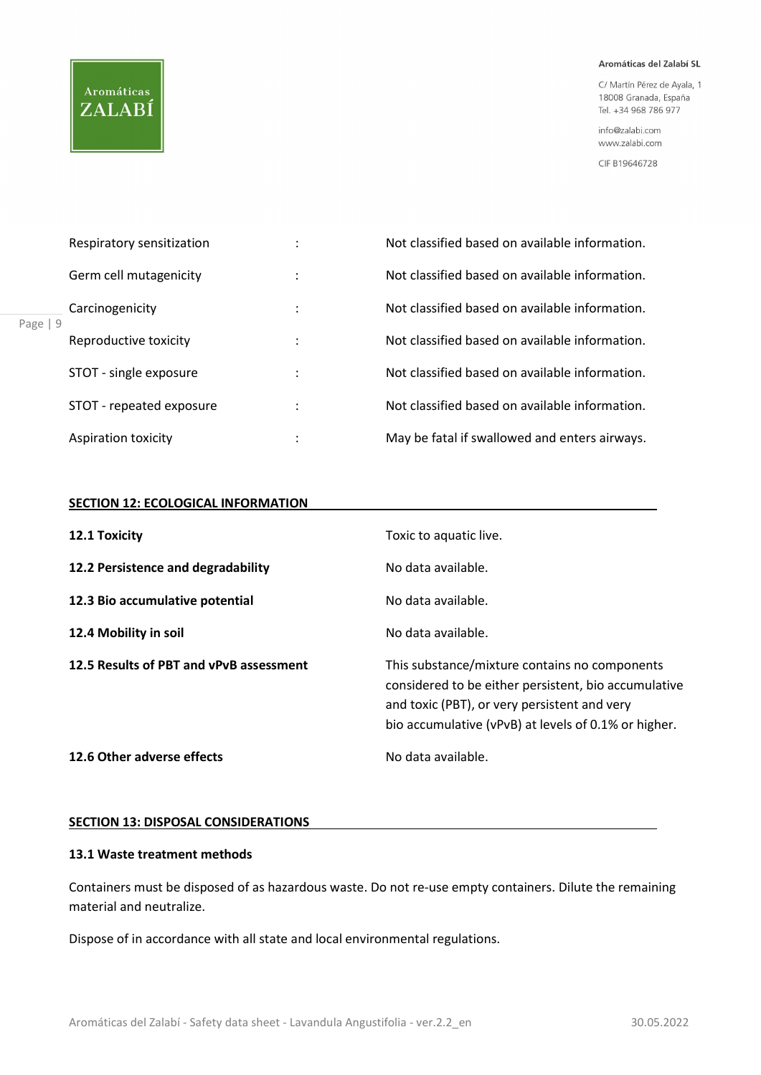## **Aromáticas** ZALABÍ

#### Aromáticas del Zalabí SL

C/ Martín Pérez de Ayala, 1 18008 Granada, España Tel. +34 968 786 977

info@zalabi.com www.zalabi.com

CIF B19646728

| Respiratory sensitization |   | Not classified based on available information. |  |
|---------------------------|---|------------------------------------------------|--|
| Germ cell mutagenicity    | ٠ | Not classified based on available information. |  |
| Carcinogenicity           |   | Not classified based on available information. |  |
| Reproductive toxicity     |   | Not classified based on available information. |  |
| STOT - single exposure    | ٠ | Not classified based on available information. |  |
| STOT - repeated exposure  | ٠ | Not classified based on available information. |  |
| Aspiration toxicity       | ٠ | May be fatal if swallowed and enters airways.  |  |

## **SECTION 12: ECOLOGICAL INFORMATION**

| 12.1 Toxicity                           | Toxic to aquatic live.                                                                                                                                                                                        |
|-----------------------------------------|---------------------------------------------------------------------------------------------------------------------------------------------------------------------------------------------------------------|
| 12.2 Persistence and degradability      | No data available.                                                                                                                                                                                            |
| 12.3 Bio accumulative potential         | No data available.                                                                                                                                                                                            |
| 12.4 Mobility in soil                   | No data available.                                                                                                                                                                                            |
| 12.5 Results of PBT and vPvB assessment | This substance/mixture contains no components<br>considered to be either persistent, bio accumulative<br>and toxic (PBT), or very persistent and very<br>bio accumulative (vPvB) at levels of 0.1% or higher. |
| 12.6 Other adverse effects              | No data available.                                                                                                                                                                                            |

## SECTION 13: DISPOSAL CONSIDERATIONS

## 13.1 Waste treatment methods

Containers must be disposed of as hazardous waste. Do not re-use empty containers. Dilute the remaining material and neutralize.

Dispose of in accordance with all state and local environmental regulations.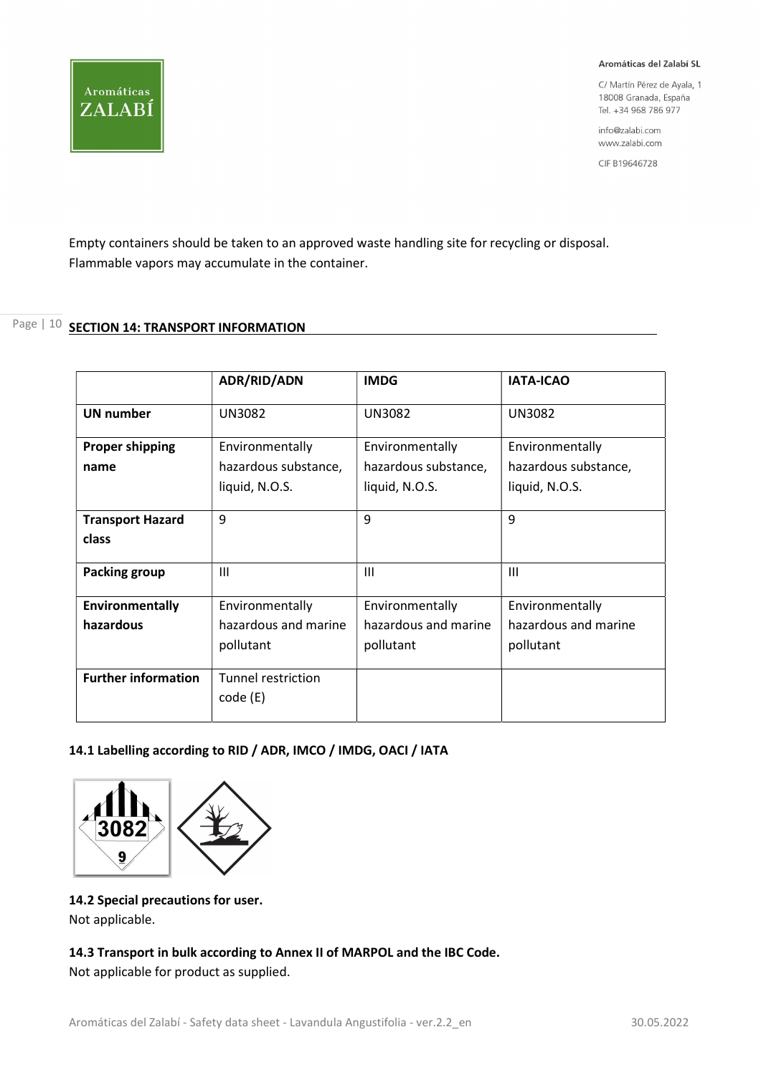C/ Martín Pérez de Ayala, 1 18008 Granada, España Tel. +34 968 786 977

info@zalabi.com www.zalabi.com

CIF B19646728

Empty containers should be taken to an approved waste handling site for recycling or disposal. Flammable vapors may accumulate in the container.

## Page | 10 SECTION 14: TRANSPORT INFORMATION

**Aromáticas** 

ZALABÍ

|                                  | <b>ADR/RID/ADN</b>                                        | <b>IMDG</b>                                               | <b>IATA-ICAO</b>                                          |
|----------------------------------|-----------------------------------------------------------|-----------------------------------------------------------|-----------------------------------------------------------|
| <b>UN number</b>                 | <b>UN3082</b>                                             | <b>UN3082</b>                                             | <b>UN3082</b>                                             |
| <b>Proper shipping</b><br>name   | Environmentally<br>hazardous substance,<br>liquid, N.O.S. | Environmentally<br>hazardous substance,<br>liquid, N.O.S. | Environmentally<br>hazardous substance,<br>liquid, N.O.S. |
| <b>Transport Hazard</b><br>class | 9                                                         | 9                                                         | 9                                                         |
| <b>Packing group</b>             | $\mathbf{III}$                                            | Ш                                                         | Ш                                                         |
| Environmentally<br>hazardous     | Environmentally<br>hazardous and marine<br>pollutant      | Environmentally<br>hazardous and marine<br>pollutant      | Environmentally<br>hazardous and marine<br>pollutant      |
| <b>Further information</b>       | Tunnel restriction<br>code (E)                            |                                                           |                                                           |

## 14.1 Labelling according to RID / ADR, IMCO / IMDG, OACI / IATA



## 14.2 Special precautions for user.

Not applicable.

## 14.3 Transport in bulk according to Annex II of MARPOL and the IBC Code.

Not applicable for product as supplied.